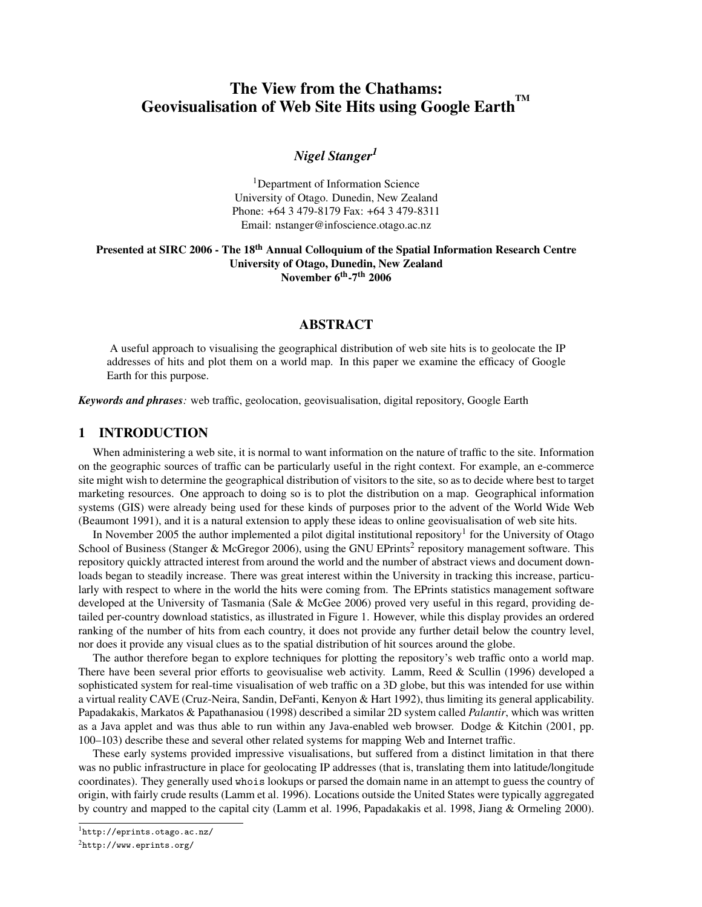# The View from the Chathams: Geovisualisation of Web Site Hits using Google Earth<sup>TM</sup>

## *Nigel Stanger<sup>1</sup>*

<sup>1</sup>Department of Information Science University of Otago. Dunedin, New Zealand Phone: +64 3 479-8179 Fax: +64 3 479-8311 Email: nstanger@infoscience.otago.ac.nz

#### Presented at SIRC 2006 - The 18<sup>th</sup> Annual Colloquium of the Spatial Information Research Centre University of Otago, Dunedin, New Zealand November 6<sup>th</sup>-7<sup>th</sup> 2006

## ABSTRACT

A useful approach to visualising the geographical distribution of web site hits is to geolocate the IP addresses of hits and plot them on a world map. In this paper we examine the efficacy of Google Earth for this purpose.

*Keywords and phrases:* web traffic, geolocation, geovisualisation, digital repository, Google Earth

#### 1 INTRODUCTION

When administering a web site, it is normal to want information on the nature of traffic to the site. Information on the geographic sources of traffic can be particularly useful in the right context. For example, an e-commerce site might wish to determine the geographical distribution of visitors to the site, so as to decide where best to target marketing resources. One approach to doing so is to plot the distribution on a map. Geographical information systems (GIS) were already being used for these kinds of purposes prior to the advent of the World Wide Web (Beaumont 1991), and it is a natural extension to apply these ideas to online geovisualisation of web site hits.

In November 2005 the author implemented a pilot digital institutional repository<sup>1</sup> for the University of Otago School of Business (Stanger & McGregor 2006), using the GNU EPrints<sup>2</sup> repository management software. This repository quickly attracted interest from around the world and the number of abstract views and document downloads began to steadily increase. There was great interest within the University in tracking this increase, particularly with respect to where in the world the hits were coming from. The EPrints statistics management software developed at the University of Tasmania (Sale & McGee 2006) proved very useful in this regard, providing detailed per-country download statistics, as illustrated in Figure 1. However, while this display provides an ordered ranking of the number of hits from each country, it does not provide any further detail below the country level, nor does it provide any visual clues as to the spatial distribution of hit sources around the globe.

The author therefore began to explore techniques for plotting the repository's web traffic onto a world map. There have been several prior efforts to geovisualise web activity. Lamm, Reed & Scullin (1996) developed a sophisticated system for real-time visualisation of web traffic on a 3D globe, but this was intended for use within a virtual reality CAVE (Cruz-Neira, Sandin, DeFanti, Kenyon & Hart 1992), thus limiting its general applicability. Papadakakis, Markatos & Papathanasiou (1998) described a similar 2D system called *Palantir*, which was written as a Java applet and was thus able to run within any Java-enabled web browser. Dodge & Kitchin (2001, pp. 100–103) describe these and several other related systems for mapping Web and Internet traffic.

These early systems provided impressive visualisations, but suffered from a distinct limitation in that there was no public infrastructure in place for geolocating IP addresses (that is, translating them into latitude/longitude coordinates). They generally used whois lookups or parsed the domain name in an attempt to guess the country of origin, with fairly crude results (Lamm et al. 1996). Locations outside the United States were typically aggregated by country and mapped to the capital city (Lamm et al. 1996, Papadakakis et al. 1998, Jiang & Ormeling 2000).

<sup>1</sup>http://eprints.otago.ac.nz/

<sup>2</sup>http://www.eprints.org/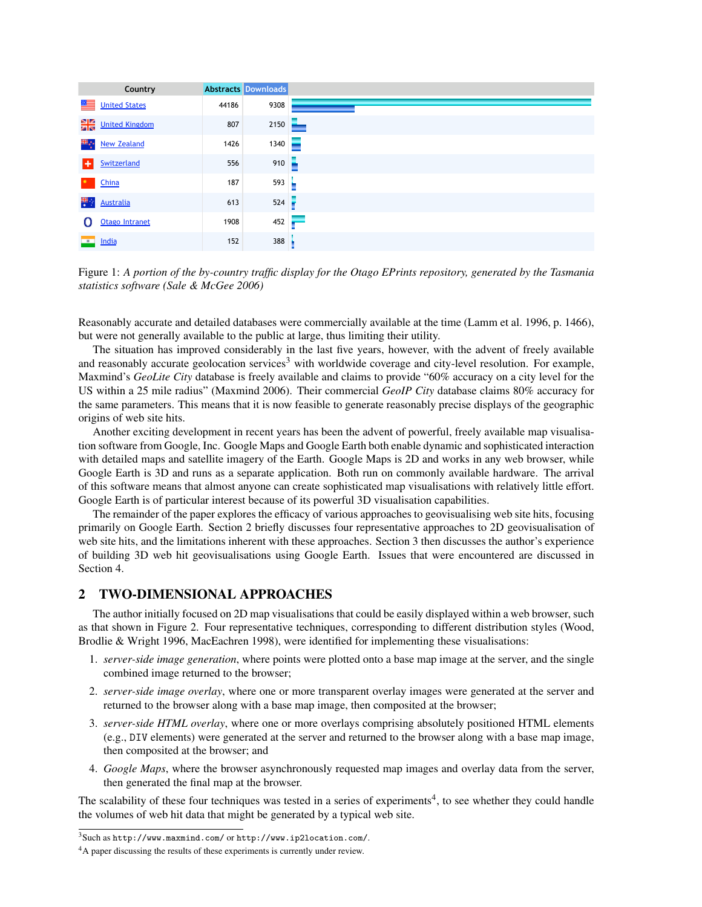|                          | Country               |       | <b>Abstracts Downloads</b> |
|--------------------------|-----------------------|-------|----------------------------|
| ≝                        | <b>United States</b>  | 44186 | 9308                       |
| 읡                        | <b>United Kingdom</b> | 807   | 2150                       |
| ₩.,                      | <b>New Zealand</b>    | 1426  | 1340                       |
| l+.                      | Switzerland           | 556   | 910                        |
|                          | China                 | 187   | 593                        |
| 蓼                        | <b>Australia</b>      | 613   | 524                        |
| O                        | Otago Intranet        | 1908  | 452<br>$\rightarrow$       |
| $\overline{\phantom{a}}$ | India                 | 152   | 388                        |

*statistics software (Sale & McGee 2006)* Figure 1: *A portion of the by-country traffic display for the Otago EPrints repository, generated by the Tasmania*

Reasonably accurate and detailed databases were commercially available at the time (Lamm et al. 1996, p. 1466), but were not generally available to the public at large, thus limiting their utility.

and reasonably accurate geolocation services<sup>3</sup> with worldwide coverage and city-level resolution. For example, Maxmind's *GeoLite City* database is freely available and claims to provide "60% accuracy on a city level for the For which a 23 nm radius (Maximina 2000). Their commercial George Chy additions conveniently for the same parameters. This means that it is now feasible to generate reasonably precise displays of the geographic origins of web site hits. The situation has improved considerably in the last five years, however, with the advent of freely available US within a 25 mile radius" (Maxmind 2006). Their commercial *GeoIP City* database claims 80% accuracy for

Another exciting development in recent years has been the advent of powerful, freely available map visualisawith detailed maps and satellite imagery of the Earth. Google Maps is 2D and works in any web browser, while Google Earth is 3D and runs as a separate application. Both run on commonly available hardware. The arrival Google Earth is of particular interest because of its powerful 3D visualisation capabilities. tion software from Google, Inc. Google Maps and Google Earth both enable dynamic and sophisticated interaction of this software means that almost anyone can create sophisticated map visualisations with relatively little effort.

of building 3D web hit geovisualisations using Google Earth. Issues that were encountered are discussed in The remainder of the paper explores the efficacy of various approaches to geovisualising web site hits, focusing primarily on Google Earth. Section 2 briefly discusses four representative approaches to 2D geovisualisation of web site hits, and the limitations inherent with these approaches. Section 3 then discusses the author's experience Section 4.

## 2 TWO-DIMENSIONAL APPROACHES

The author initially focused on 2D map visualisations that could be easily displayed within a web browser, such as that shown in Figure 2. Four representative techniques, corresponding to different distribution styles (Wood, Brodlie & Wright 1996, MacEachren 1998), were identified for implementing these visualisations:

- 1. *server-side image generation*, where points were plotted onto a base map image at the server, and the single combined image returned to the browser;
- 2. *server-side image overlay*, where one or more transparent overlay images were generated at the server and returned to the browser along with a base map image, then composited at the browser;
- 3. *server-side HTML overlay*, where one or more overlays comprising absolutely positioned HTML elements (e.g., DIV elements) were generated at the server and returned to the browser along with a base map image, then composited at the browser; and
- 4. *Google Maps*, where the browser asynchronously requested map images and overlay data from the server, then generated the final map at the browser.

The scalability of these four techniques was tested in a series of experiments<sup>4</sup>, to see whether they could handle the volumes of web hit data that might be generated by a typical web site.

<sup>3</sup>Such as http://www.maxmind.com/ or http://www.ip2location.com/.

<sup>&</sup>lt;sup>4</sup>A paper discussing the results of these experiments is currently under review.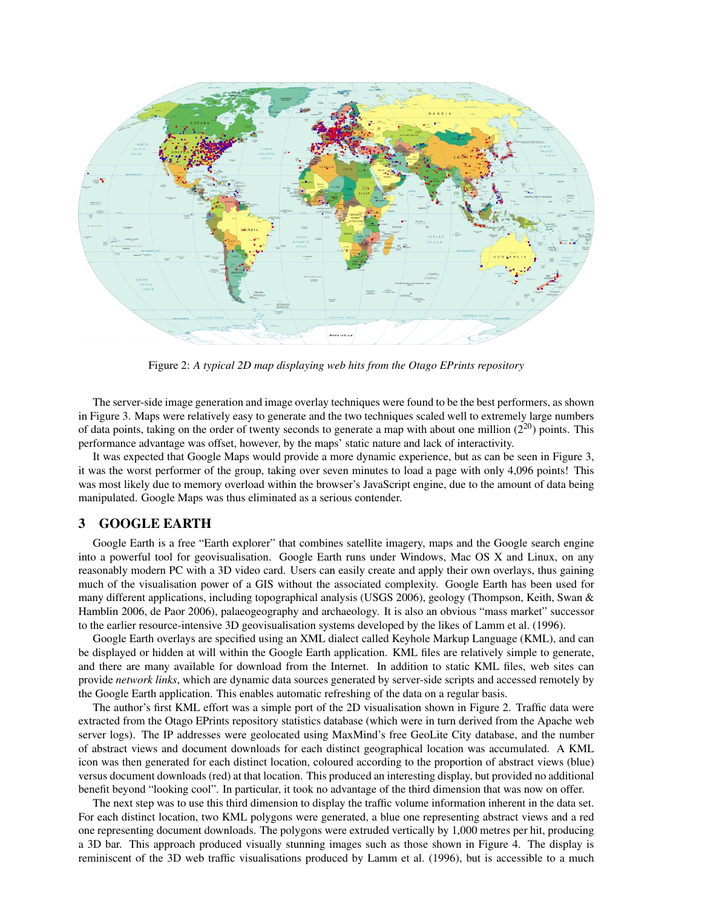

Figure 2: *A typical 2D map displaying web hits from the Otago EPrints repository*

The server-side image generation and image overlay techniques were found to be the best performers, as shown in Figure 3. Maps were relatively easy to generate and the two techniques scaled well to extremely large numbers of data points, taking on the order of twenty seconds to generate a map with about one million  $(2^{20})$  points. This performance advantage was offset, however, by the maps' static nature and lack of interactivity.

It was expected that Google Maps would provide a more dynamic experience, but as can be seen in Figure 3, it was the worst performer of the group, taking over seven minutes to load a page with only 4,096 points! This was most likely due to memory overload within the browser's JavaScript engine, due to the amount of data being manipulated. Google Maps was thus eliminated as a serious contender.

## 3 GOOGLE EARTH

Google Earth is a free "Earth explorer" that combines satellite imagery, maps and the Google search engine into a powerful tool for geovisualisation. Google Earth runs under Windows, Mac OS X and Linux, on any reasonably modern PC with a 3D video card. Users can easily create and apply their own overlays, thus gaining much of the visualisation power of a GIS without the associated complexity. Google Earth has been used for many different applications, including topographical analysis (USGS 2006), geology (Thompson, Keith, Swan & Hamblin 2006, de Paor 2006), palaeogeography and archaeology. It is also an obvious "mass market" successor to the earlier resource-intensive 3D geovisualisation systems developed by the likes of Lamm et al. (1996).

Google Earth overlays are specified using an XML dialect called Keyhole Markup Language (KML), and can be displayed or hidden at will within the Google Earth application. KML files are relatively simple to generate, and there are many available for download from the Internet. In addition to static KML files, web sites can provide *network links*, which are dynamic data sources generated by server-side scripts and accessed remotely by the Google Earth application. This enables automatic refreshing of the data on a regular basis.

The author's first KML effort was a simple port of the 2D visualisation shown in Figure 2. Traffic data were extracted from the Otago EPrints repository statistics database (which were in turn derived from the Apache web server logs). The IP addresses were geolocated using MaxMind's free GeoLite City database, and the number of abstract views and document downloads for each distinct geographical location was accumulated. A KML icon was then generated for each distinct location, coloured according to the proportion of abstract views (blue) versus document downloads (red) at that location. This produced an interesting display, but provided no additional benefit beyond "looking cool". In particular, it took no advantage of the third dimension that was now on offer.

The next step was to use this third dimension to display the traffic volume information inherent in the data set. For each distinct location, two KML polygons were generated, a blue one representing abstract views and a red one representing document downloads. The polygons were extruded vertically by 1,000 metres per hit, producing a 3D bar. This approach produced visually stunning images such as those shown in Figure 4. The display is reminiscent of the 3D web traffic visualisations produced by Lamm et al. (1996), but is accessible to a much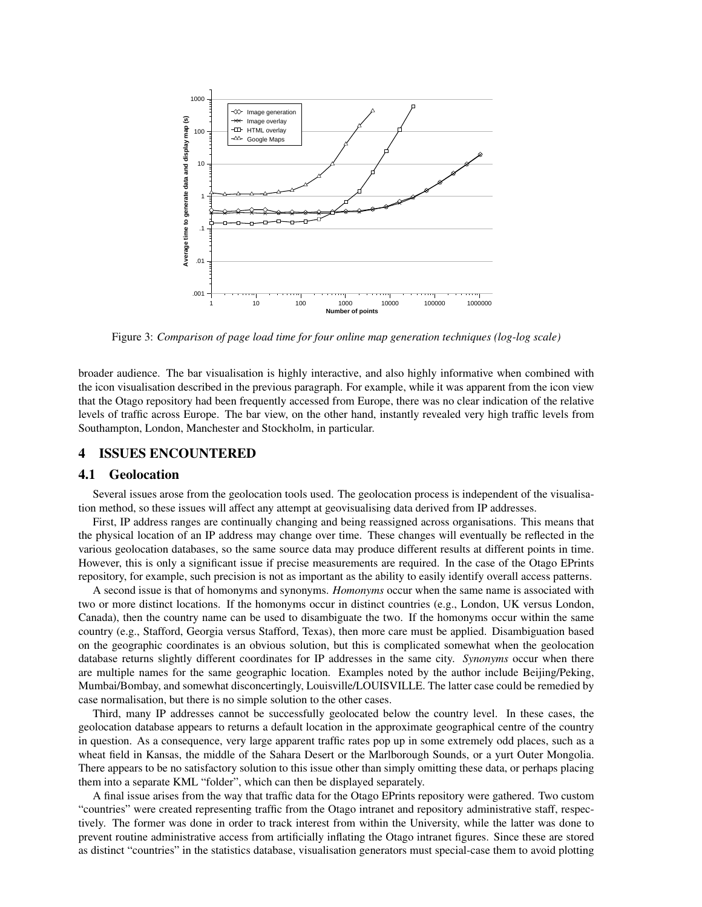

Figure 3: *Comparison of page load time for four online map generation techniques (log-log scale)*

broader audience. The bar visualisation is highly interactive, and also highly informative when combined with the icon visualisation described in the previous paragraph. For example, while it was apparent from the icon view that the Otago repository had been frequently accessed from Europe, there was no clear indication of the relative levels of traffic across Europe. The bar view, on the other hand, instantly revealed very high traffic levels from Southampton, London, Manchester and Stockholm, in particular.

## 4 ISSUES ENCOUNTERED

#### 4.1 Geolocation

Several issues arose from the geolocation tools used. The geolocation process is independent of the visualisation method, so these issues will affect any attempt at geovisualising data derived from IP addresses.

First, IP address ranges are continually changing and being reassigned across organisations. This means that the physical location of an IP address may change over time. These changes will eventually be reflected in the various geolocation databases, so the same source data may produce different results at different points in time. However, this is only a significant issue if precise measurements are required. In the case of the Otago EPrints repository, for example, such precision is not as important as the ability to easily identify overall access patterns.

A second issue is that of homonyms and synonyms. *Homonyms* occur when the same name is associated with two or more distinct locations. If the homonyms occur in distinct countries (e.g., London, UK versus London, Canada), then the country name can be used to disambiguate the two. If the homonyms occur within the same country (e.g., Stafford, Georgia versus Stafford, Texas), then more care must be applied. Disambiguation based on the geographic coordinates is an obvious solution, but this is complicated somewhat when the geolocation database returns slightly different coordinates for IP addresses in the same city. *Synonyms* occur when there are multiple names for the same geographic location. Examples noted by the author include Beijing/Peking, Mumbai/Bombay, and somewhat disconcertingly, Louisville/LOUISVILLE. The latter case could be remedied by case normalisation, but there is no simple solution to the other cases.

Third, many IP addresses cannot be successfully geolocated below the country level. In these cases, the geolocation database appears to returns a default location in the approximate geographical centre of the country in question. As a consequence, very large apparent traffic rates pop up in some extremely odd places, such as a wheat field in Kansas, the middle of the Sahara Desert or the Marlborough Sounds, or a yurt Outer Mongolia. There appears to be no satisfactory solution to this issue other than simply omitting these data, or perhaps placing them into a separate KML "folder", which can then be displayed separately.

A final issue arises from the way that traffic data for the Otago EPrints repository were gathered. Two custom "countries" were created representing traffic from the Otago intranet and repository administrative staff, respectively. The former was done in order to track interest from within the University, while the latter was done to prevent routine administrative access from artificially inflating the Otago intranet figures. Since these are stored as distinct "countries" in the statistics database, visualisation generators must special-case them to avoid plotting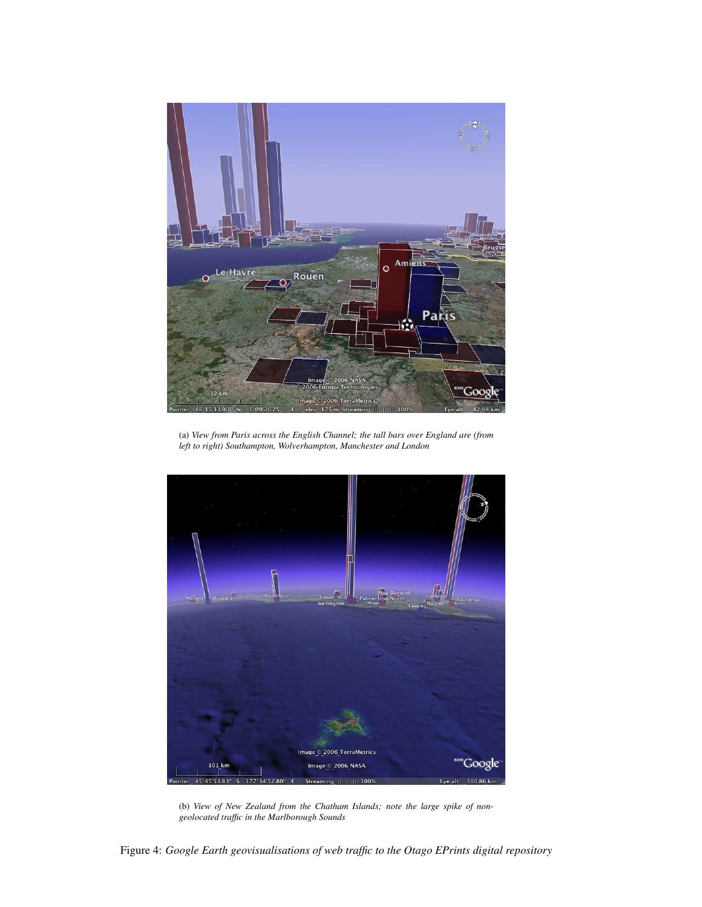

(a) *View from Paris across the English Channel; the tall bars over England are (from left to right) Southampton, Wolverhampton, Manchester and London*



(b) *View of New Zealand from the Chatham Islands; note the large spike of nongeolocated traffic in the Marlborough Sounds*

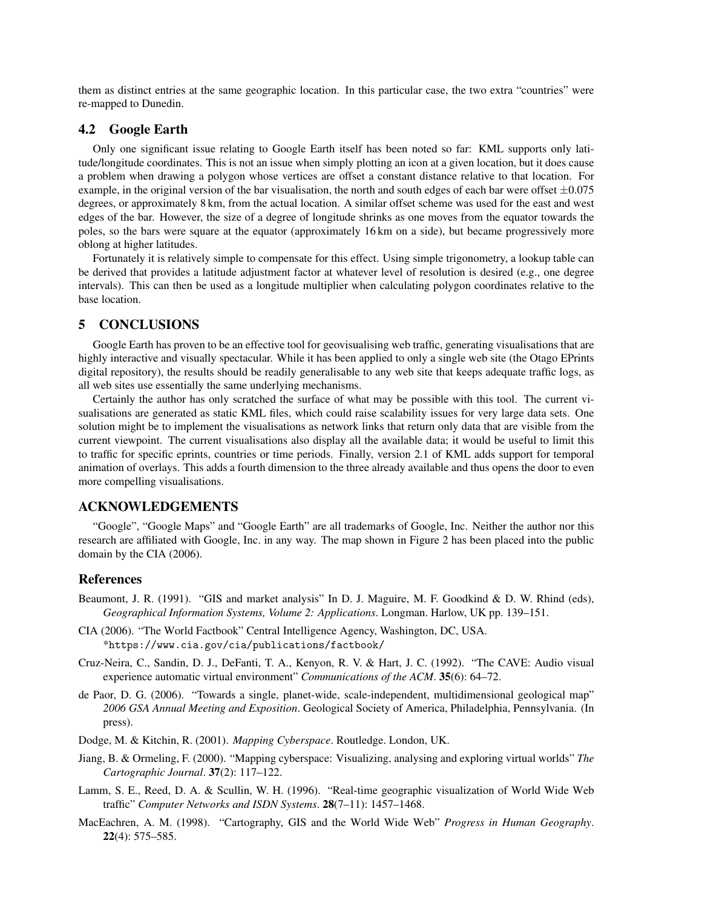them as distinct entries at the same geographic location. In this particular case, the two extra "countries" were re-mapped to Dunedin.

#### 4.2 Google Earth

Only one significant issue relating to Google Earth itself has been noted so far: KML supports only latitude/longitude coordinates. This is not an issue when simply plotting an icon at a given location, but it does cause a problem when drawing a polygon whose vertices are offset a constant distance relative to that location. For example, in the original version of the bar visualisation, the north and south edges of each bar were offset  $\pm 0.075$ degrees, or approximately 8 km, from the actual location. A similar offset scheme was used for the east and west edges of the bar. However, the size of a degree of longitude shrinks as one moves from the equator towards the poles, so the bars were square at the equator (approximately 16 km on a side), but became progressively more oblong at higher latitudes.

Fortunately it is relatively simple to compensate for this effect. Using simple trigonometry, a lookup table can be derived that provides a latitude adjustment factor at whatever level of resolution is desired (e.g., one degree intervals). This can then be used as a longitude multiplier when calculating polygon coordinates relative to the base location.

#### 5 CONCLUSIONS

Google Earth has proven to be an effective tool for geovisualising web traffic, generating visualisations that are highly interactive and visually spectacular. While it has been applied to only a single web site (the Otago EPrints digital repository), the results should be readily generalisable to any web site that keeps adequate traffic logs, as all web sites use essentially the same underlying mechanisms.

Certainly the author has only scratched the surface of what may be possible with this tool. The current visualisations are generated as static KML files, which could raise scalability issues for very large data sets. One solution might be to implement the visualisations as network links that return only data that are visible from the current viewpoint. The current visualisations also display all the available data; it would be useful to limit this to traffic for specific eprints, countries or time periods. Finally, version 2.1 of KML adds support for temporal animation of overlays. This adds a fourth dimension to the three already available and thus opens the door to even more compelling visualisations.

## ACKNOWLEDGEMENTS

"Google", "Google Maps" and "Google Earth" are all trademarks of Google, Inc. Neither the author nor this research are affiliated with Google, Inc. in any way. The map shown in Figure 2 has been placed into the public domain by the CIA (2006).

#### References

- Beaumont, J. R. (1991). "GIS and market analysis" In D. J. Maguire, M. F. Goodkind & D. W. Rhind (eds), *Geographical Information Systems, Volume 2: Applications*. Longman. Harlow, UK pp. 139–151.
- CIA (2006). "The World Factbook" Central Intelligence Agency, Washington, DC, USA. \*https://www.cia.gov/cia/publications/factbook/
- Cruz-Neira, C., Sandin, D. J., DeFanti, T. A., Kenyon, R. V. & Hart, J. C. (1992). "The CAVE: Audio visual experience automatic virtual environment" *Communications of the ACM*. 35(6): 64–72.
- de Paor, D. G. (2006). "Towards a single, planet-wide, scale-independent, multidimensional geological map" *2006 GSA Annual Meeting and Exposition*. Geological Society of America, Philadelphia, Pennsylvania. (In press).
- Dodge, M. & Kitchin, R. (2001). *Mapping Cyberspace*. Routledge. London, UK.
- Jiang, B. & Ormeling, F. (2000). "Mapping cyberspace: Visualizing, analysing and exploring virtual worlds" *The Cartographic Journal*. 37(2): 117–122.
- Lamm, S. E., Reed, D. A. & Scullin, W. H. (1996). "Real-time geographic visualization of World Wide Web traffic" *Computer Networks and ISDN Systems*. 28(7–11): 1457–1468.
- MacEachren, A. M. (1998). "Cartography, GIS and the World Wide Web" *Progress in Human Geography*. 22(4): 575–585.